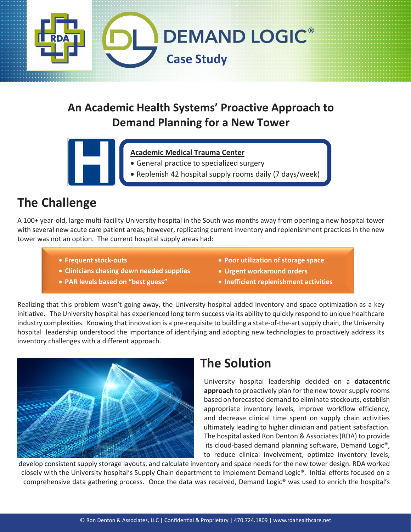

## **An Academic Health Systems' Proactive Approach to Demand Planning for a New Tower**

- **Academic Medical Trauma Center**
- General practice to specialized surgery
- Replenish 42 hospital supply rooms daily (7 days/week)

## **The Challenge**

•

A 100+ year-old, large multi-facility University hospital in the South was months away from opening a new hospital tower with several new acute care patient areas; however, replicating current inventory and replenishment practices in the new tower was not an option. The current hospital supply areas had:

- **Frequent stock-outs**
- **Clinicians chasing down needed supplies**
- **PAR levels based on "best guess"**
- **Poor utilization of storage space**
- **Urgent workaround orders**
- **Inefficient replenishment activities**

Realizing that this problem wasn't going away, the University hospital added inventory and space optimization as a key • initiative. The University hospital has experienced long term success via its ability to quickly respond to unique healthcare industry complexities. Knowing that innovation is a pre-requisite to building a state-of-the-art supply chain, the University hospital leadership understood the importance of identifying and adopting new technologies to proactively address its inventory challenges with a different approach.



## **The Solution**

University hospital leadership decided on a **datacentric approach** to proactively plan for the new tower supply rooms based on forecasted demand to eliminate stockouts, establish appropriate inventory levels, improve workflow efficiency, and decrease clinical time spent on supply chain activities ultimately leading to higher clinician and patient satisfaction. The hospital asked Ron Denton & Associates (RDA) to provide its cloud-based demand planning software, Demand Logic®, to reduce clinical involvement, optimize inventory levels,

develop consistent supply storage layouts, and calculate inventory and space needs for the new tower design. RDA worked closely with the University hospital's Supply Chain department to implement Demand Logic®. Initial efforts focused on a comprehensive data gathering process. Once the data was received, Demand Logic® was used to enrich the hospital's